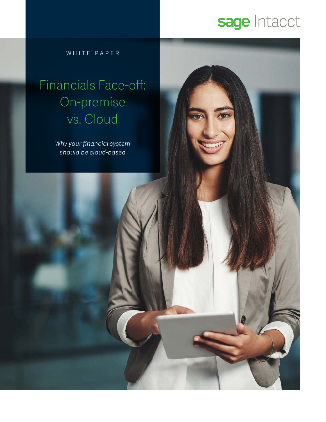### sage Intacct

WHITE PAPER

### Financials Face-off: On-premise vs. Cloud

*Why your financial system should be cloud-based*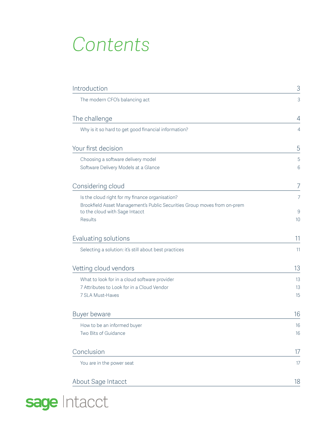### *Contents*

| Introduction                                                                                                                                                             | 3                         |
|--------------------------------------------------------------------------------------------------------------------------------------------------------------------------|---------------------------|
| The modern CFO's balancing act                                                                                                                                           | 3                         |
| The challenge                                                                                                                                                            | 4                         |
| Why is it so hard to get good financial information?                                                                                                                     | $\overline{4}$            |
| Your first decision                                                                                                                                                      | 5                         |
| Choosing a software delivery model<br>Software Delivery Models at a Glance                                                                                               | 5<br>6                    |
| Considering cloud                                                                                                                                                        | 7                         |
| Is the cloud right for my finance organisation?<br>Brookfield Asset Management's Public Securities Group moves from on-prem<br>to the cloud with Sage Intacct<br>Results | 7<br>$\overline{9}$<br>10 |
| Evaluating solutions                                                                                                                                                     | 11                        |
| Selecting a solution: it's still about best practices                                                                                                                    | 11                        |
| Vetting cloud vendors                                                                                                                                                    | 13                        |
| What to look for in a cloud software provider<br>7 Attributes to Look for in a Cloud Vendor<br>7 SLA Must-Haves                                                          | 13<br>13<br>15            |
| Buyer beware                                                                                                                                                             | 16                        |
| How to be an informed buyer<br>Two Bits of Guidance                                                                                                                      | 16<br>16                  |
| Conclusion                                                                                                                                                               | 17                        |
| You are in the power seat                                                                                                                                                | 17                        |
| About Sage Intacct                                                                                                                                                       | 18                        |

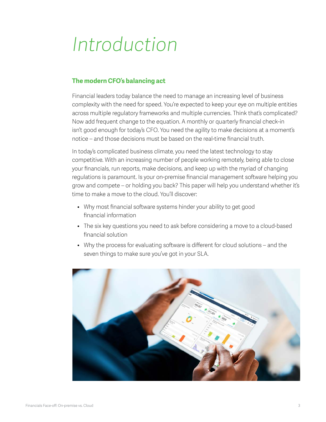### <span id="page-2-0"></span>*Introduction*

#### **The modern CFO's balancing act**

Financial leaders today balance the need to manage an increasing level of business complexity with the need for speed. You're expected to keep your eye on multiple entities across multiple regulatory frameworks and multiple currencies. Think that's complicated? Now add frequent change to the equation. A monthly or quarterly financial check-in isn't good enough for today's CFO. You need the agility to make decisions at a moment's notice – and those decisions must be based on the real-time financial truth.

In today's complicated business climate, you need the latest technology to stay competitive. With an increasing number of people working remotely, being able to close your financials, run reports, make decisions, and keep up with the myriad of changing regulations is paramount. Is your on-premise financial management software helping you grow and compete – or holding you back? This paper will help you understand whether it's time to make a move to the cloud. You'll discover:

- Why most financial software systems hinder your ability to get good financial information
- The six key questions you need to ask before considering a move to a cloud-based financial solution
- Why the process for evaluating software is different for cloud solutions and the seven things to make sure you've got in your SLA.

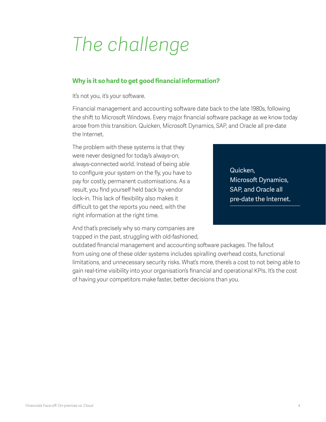# <span id="page-3-0"></span>*The challenge*

#### **Why is it so hard to get good financial information?**

It's not you, it's your software.

Financial management and accounting software date back to the late 1980s, following the shift to Microsoft Windows. Every major financial software package as we know today arose from this transition. Quicken, Microsoft Dynamics, SAP, and Oracle all pre-date the Internet.

The problem with these systems is that they were never designed for today's always-on, always-connected world. Instead of being able to configure your system on the fly, you have to pay for costly, permanent customisations. As a result, you find yourself held back by vendor lock-in. This lack of flexibility also makes it difficult to get the reports you need, with the right information at the right time.

And that's precisely why so many companies are trapped in the past, struggling with old-fashioned, Quicken, Microsoft Dynamics, SAP, and Oracle all pre-date the Internet.

outdated financial management and accounting software packages. The fallout from using one of these older systems includes spiralling overhead costs, functional limitations, and unnecessary security risks. What's more, there's a cost to not being able to gain real-time visibility into your organisation's financial and operational KPIs. It's the cost of having your competitors make faster, better decisions than you.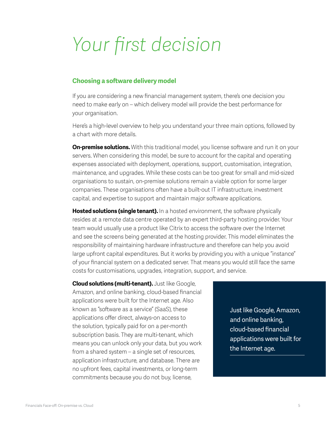### <span id="page-4-0"></span>*Your first decision*

#### **Choosing a software delivery model**

If you are considering a new financial management system, there's one decision you need to make early on – which delivery model will provide the best performance for your organisation.

Here's a high-level overview to help you understand your three main options, followed by a chart with more details.

**On-premise solutions.** With this traditional model, you license software and run it on your servers. When considering this model, be sure to account for the capital and operating expenses associated with deployment, operations, support, customisation, integration, maintenance, and upgrades. While these costs can be too great for small and mid-sized organisations to sustain, on-premise solutions remain a viable option for some larger companies. These organisations often have a built-out IT infrastructure, investment capital, and expertise to support and maintain major software applications.

**Hosted solutions (single tenant).** In a hosted environment, the software physically resides at a remote data centre operated by an expert third-party hosting provider. Your team would usually use a product like Citrix to access the software over the Internet and see the screens being generated at the hosting provider. This model eliminates the responsibility of maintaining hardware infrastructure and therefore can help you avoid large upfront capital expenditures. But it works by providing you with a unique "instance" of your financial system on a dedicated server. That means you would still face the same costs for customisations, upgrades, integration, support, and service.

**Cloud solutions (multi-tenant).** Just like Google, Amazon, and online banking, cloud-based financial applications were built for the Internet age. Also known as "software as a service" (SaaS), these applications offer direct, always-on access to the solution, typically paid for on a per-month subscription basis. They are multi-tenant, which means you can unlock only your data, but you work from a shared system – a single set of resources, application infrastructure, and database. There are no upfront fees, capital investments, or long-term commitments because you do not buy, license,

Just like Google, Amazon, and online banking, cloud-based financial applications were built for the Internet age.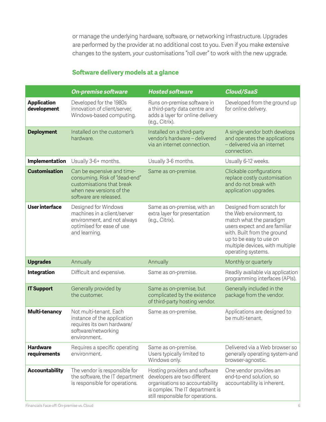<span id="page-5-0"></span>or manage the underlying hardware, software, or networking infrastructure. Upgrades are performed by the provider at no additional cost to you. Even if you make extensive changes to the system, your customisations "roll over" to work with the new upgrade.

#### **Software delivery models at a glance**

|                                   | <b>On-premise software</b>                                                                                                                     | <b>Hosted software</b>                                                                                                                                                     | <b>Cloud/SaaS</b>                                                                                                                                                                                                                   |
|-----------------------------------|------------------------------------------------------------------------------------------------------------------------------------------------|----------------------------------------------------------------------------------------------------------------------------------------------------------------------------|-------------------------------------------------------------------------------------------------------------------------------------------------------------------------------------------------------------------------------------|
| <b>Application</b><br>development | Developed for the 1980s<br>innovation of client/server,<br>Windows-based computing.                                                            | Runs on-premise software in<br>a third-party data centre and<br>adds a layer for online delivery<br>(e.g., Citrix).                                                        | Developed from the ground up<br>for online delivery.                                                                                                                                                                                |
| <b>Deployment</b>                 | Installed on the customer's<br>hardware.                                                                                                       | Installed on a third-party<br>vendor's hardware - delivered<br>via an internet connection.                                                                                 | A single vendor both develops<br>and operates the applications<br>- delivered via an internet<br>connection.                                                                                                                        |
| Implementation                    | Usually 3-6+ months.                                                                                                                           | Usually 3-6 months.                                                                                                                                                        | Usually 6-12 weeks.                                                                                                                                                                                                                 |
| <b>Customisation</b>              | Can be expensive and time-<br>consuming. Risk of "dead-end"<br>customisations that break<br>when new versions of the<br>software are released. | Same as on-premise.                                                                                                                                                        | Clickable configurations<br>replace costly customisation<br>and do not break with<br>application upgrades.                                                                                                                          |
| User interface                    | Designed for Windows<br>machines in a client/server<br>environment, and not always<br>optimised for ease of use<br>and learning.               | Same as on-premise, with an<br>extra layer for presentation<br>(e.g., Citrix).                                                                                             | Designed from scratch for<br>the Web environment, to<br>match what the paradigm<br>users expect and are familiar<br>with. Built from the ground<br>up to be easy to use on<br>multiple devices, with multiple<br>operating systems. |
| <b>Upgrades</b>                   | Annually                                                                                                                                       | Annually                                                                                                                                                                   | Monthly or quarterly                                                                                                                                                                                                                |
| Integration                       | Difficult and expensive.                                                                                                                       | Same as on-premise.                                                                                                                                                        | Readily available via application<br>programming interfaces (APIs).                                                                                                                                                                 |
| <b>IT Support</b>                 | Generally provided by<br>the customer.                                                                                                         | Same as on-premise, but<br>complicated by the existence<br>of third-party hosting vendor.                                                                                  | Generally included in the<br>package from the vendor.                                                                                                                                                                               |
| Multi-tenancy                     | Not multi-tenant. Each<br>instance of the application<br>requires its own hardware/<br>software/networking<br>environment.                     | Same as on-premise.                                                                                                                                                        | Applications are designed to<br>be multi-tenant.                                                                                                                                                                                    |
| <b>Hardware</b><br>requirements   | Requires a specific operating<br>environment.                                                                                                  | Same as on-premise.<br>Users typically limited to<br>Windows only.                                                                                                         | Delivered via a Web browser so<br>generally operating system-and<br>browser-agnostic.                                                                                                                                               |
| <b>Accountability</b>             | The vendor is responsible for<br>the software, the IT department<br>is responsible for operations.                                             | Hosting providers and software<br>developers are two different<br>organisations so accountability<br>is complex. The IT department is<br>still responsible for operations. | One vendor provides an<br>end-to-end solution, so<br>accountability is inherent.                                                                                                                                                    |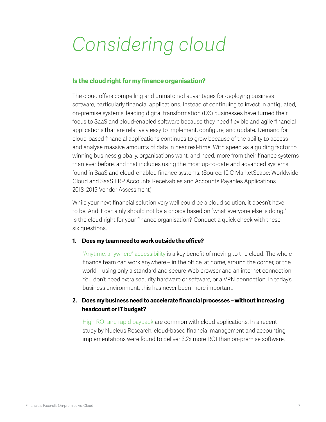# <span id="page-6-0"></span>*Considering cloud*

#### **Is the cloud right for my finance organisation?**

The cloud offers compelling and unmatched advantages for deploying business software, particularly financial applications. Instead of continuing to invest in antiquated, on-premise systems, leading digital transformation (DX) businesses have turned their focus to SaaS and cloud-enabled software because they need flexible and agile financial applications that are relatively easy to implement, configure, and update. Demand for cloud-based financial applications continues to grow because of the ability to access and analyse massive amounts of data in near real-time. With speed as a guiding factor to winning business globally, organisations want, and need, more from their finance systems than ever before, and that includes using the most up-to-date and advanced systems found in SaaS and cloud-enabled finance systems. (Source: IDC MarketScape: Worldwide Cloud and SaaS ERP Accounts Receivables and Accounts Payables Applications 2018–2019 Vendor Assessment)

While your next financial solution very well could be a cloud solution, it doesn't have to be. And it certainly should not be a choice based on "what everyone else is doing." Is the cloud right for your finance organisation? Conduct a quick check with these six questions.

#### **1. Does my team need to work outside the office?**

"Anytime, anywhere" accessibility is a key benefit of moving to the cloud. The whole finance team can work anywhere – in the office, at home, around the corner, or the world – using only a standard and secure Web browser and an internet connection. You don't need extra security hardware or software, or a VPN connection. In today's business environment, this has never been more important.

#### **2. Does my business need to accelerate financial processes – without increasing headcount or IT budget?**

High ROI and rapid payback are common with cloud applications. In a recent study by Nucleus Research, cloud-based financial management and accounting implementations were found to deliver 3.2x more ROI than on-premise software.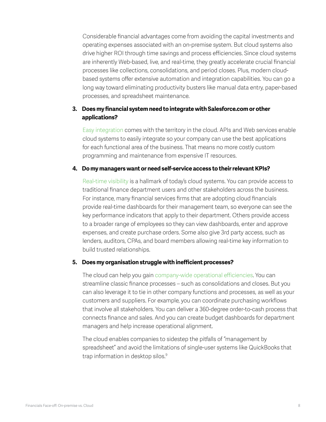Considerable financial advantages come from avoiding the capital investments and operating expenses associated with an on-premise system. But cloud systems also drive higher ROI through time savings and process efficiencies. Since cloud systems are inherently Web-based, live, and real-time, they greatly accelerate crucial financial processes like collections, consolidations, and period closes. Plus, modern cloudbased systems offer extensive automation and integration capabilities. You can go a long way toward eliminating productivity busters like manual data entry, paper-based processes, and spreadsheet maintenance.

#### **3. Does my financial system need to integrate with Salesforce.com or other applications?**

Easy integration comes with the territory in the cloud. APIs and Web services enable cloud systems to easily integrate so your company can use the best applications for each functional area of the business. That means no more costly custom programming and maintenance from expensive IT resources.

#### **4. Do my managers want or need self-service access to their relevant KPIs?**

Real-time visibility is a hallmark of today's cloud systems. You can provide access to traditional finance department users and other stakeholders across the business. For instance, many financial services firms that are adopting cloud financials provide real-time dashboards for their management team, so everyone can see the key performance indicators that apply to their department. Others provide access to a broader range of employees so they can view dashboards, enter and approve expenses, and create purchase orders. Some also give 3rd party access, such as lenders, auditors, CPAs, and board members allowing real-time key information to build trusted relationships.

#### **5. Does my organisation struggle with inefficient processes?**

The cloud can help you gain company-wide operational efficiencies. You can streamline classic finance processes – such as consolidations and closes. But you can also leverage it to tie in other company functions and processes, as well as your customers and suppliers. For example, you can coordinate purchasing workflows that involve all stakeholders. You can deliver a 360-degree order-to-cash process that connects finance and sales. And you can create budget dashboards for department managers and help increase operational alignment.

The cloud enables companies to sidestep the pitfalls of "management by spreadsheet" and avoid the limitations of single-user systems like QuickBooks that trap information in desktop silos.<sup>9</sup>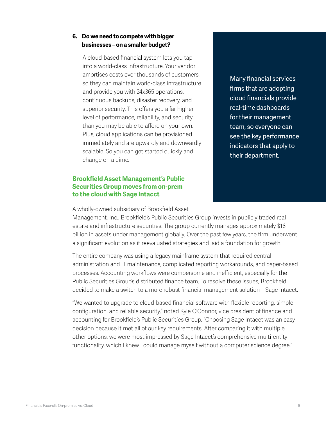#### <span id="page-8-0"></span>**6. Do we need to compete with bigger businesses – on a smaller budget?**

A cloud-based financial system lets you tap into a world-class infrastructure. Your vendor amortises costs over thousands of customers, so they can maintain world-class infrastructure and provide you with 24x365 operations, continuous backups, disaster recovery, and superior security. This offers you a far higher level of performance, reliability, and security than you may be able to afford on your own. Plus, cloud applications can be provisioned immediately and are upwardly and downwardly scalable. So you can get started quickly and change on a dime.

#### **Brookfield Asset Management's Public Securities Group moves from on-prem to the cloud with Sage Intacct**

Many financial services firms that are adopting cloud financials provide real-time dashboards for their management team, so everyone can see the key performance indicators that apply to their department.

A wholly-owned subsidiary of Brookfield Asset

Management, Inc., Brookfield's Public Securities Group invests in publicly traded real estate and infrastructure securities. The group currently manages approximately \$16 billion in assets under management globally. Over the past few years, the firm underwent a significant evolution as it reevaluated strategies and laid a foundation for growth.

The entire company was using a legacy mainframe system that required central administration and IT maintenance, complicated reporting workarounds, and paper-based processes. Accounting workflows were cumbersome and inefficient, especially for the Public Securities Group's distributed finance team. To resolve these issues, Brookfield decided to make a switch to a more robust financial management solution – Sage Intacct.

"We wanted to upgrade to cloud-based financial software with flexible reporting, simple configuration, and reliable security," noted Kyle O'Connor, vice president of finance and accounting for Brookfield's Public Securities Group. "Choosing Sage Intacct was an easy decision because it met all of our key requirements. After comparing it with multiple other options, we were most impressed by Sage Intacct's comprehensive multi-entity functionality, which I knew I could manage myself without a computer science degree."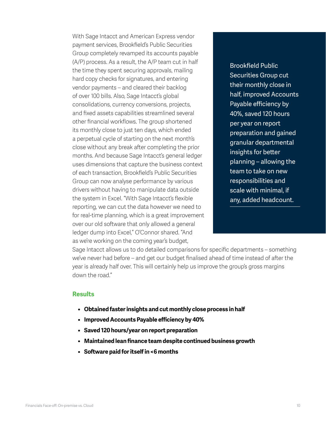<span id="page-9-0"></span>With Sage Intacct and American Express vendor payment services, Brookfield's Public Securities Group completely revamped its accounts payable (A/P) process. As a result, the A/P team cut in half the time they spent securing approvals, mailing hard copy checks for signatures, and entering vendor payments – and cleared their backlog of over 100 bills. Also, Sage Intacct's global consolidations, currency conversions, projects, and fixed assets capabilities streamlined several other financial workflows. The group shortened its monthly close to just ten days, which ended a perpetual cycle of starting on the next month's close without any break after completing the prior months. And because Sage Intacct's general ledger uses dimensions that capture the business context of each transaction, Brookfield's Public Securities Group can now analyse performance by various drivers without having to manipulate data outside the system in Excel. "With Sage Intacct's flexible reporting, we can cut the data however we need to for real-time planning, which is a great improvement over our old software that only allowed a general ledger dump into Excel," O'Connor shared. "And as we're working on the coming year's budget,

Brookfield Public Securities Group cut their monthly close in half, improved Accounts Payable efficiency by 40%, saved 120 hours per year on report preparation and gained granular departmental insights for better planning – allowing the team to take on new responsibilities and scale with minimal, if any, added headcount.

Sage Intacct allows us to do detailed comparisons for specific departments – something we've never had before – and get our budget finalised ahead of time instead of after the year is already half over. This will certainly help us improve the group's gross margins down the road."

#### **Results**

- **• Obtained faster insights and cut monthly close process in half**
- **• Improved Accounts Payable efficiency by 40%**
- **• Saved 120 hours/year on report preparation**
- **• Maintained lean finance team despite continued business growth**
- **• Software paid for itself in <6 months**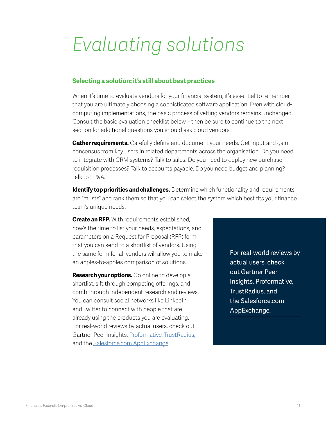### <span id="page-10-0"></span>*Evaluating solutions*

#### **Selecting a solution: it's still about best practices**

When it's time to evaluate vendors for your financial system, it's essential to remember that you are ultimately choosing a sophisticated software application. Even with cloudcomputing implementations, the basic process of vetting vendors remains unchanged. Consult the basic evaluation checklist below – then be sure to continue to the next section for additional questions you should ask cloud vendors.

**Gather requirements.** Carefully define and document your needs. Get input and gain consensus from key users in related departments across the organisation. Do you need to integrate with CRM systems? Talk to sales. Do you need to deploy new purchase requisition processes? Talk to accounts payable. Do you need budget and planning? Talk to FP&A.

**Identify top priorities and challenges.** Determine which functionality and requirements are "musts" and rank them so that you can select the system which best fits your finance team's unique needs.

**Create an RFP.** With requirements established, now's the time to list your needs, expectations, and parameters on a Request for Proposal (RFP) form that you can send to a shortlist of vendors. Using the same form for all vendors will allow you to make an apples-to-apples comparison of solutions.

**Research your options.** Go online to develop a shortlist, sift through competing offerings, and comb through independent research and reviews. You can consult social networks like LinkedIn and Twitter to connect with people that are already using the products you are evaluating. For real-world reviews by actual users, check out Gartner Peer Insights, [Proformative,](http://www.proformative.com/) [TrustRadius,](http://www.trustradius.com/) and the [Salesforce.com AppExchange](https://appexchange.salesforce.com/).

For real-world reviews by actual users, check out Gartner Peer Insights, Proformative, TrustRadius, and the Salesforce.com AppExchange.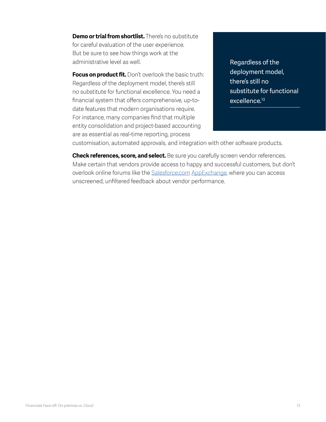**Demo or trial from shortlist.** There's no substitute for careful evaluation of the user experience. But be sure to see how things work at the administrative level as well.

**Focus on product fit.** Don't overlook the basic truth: Regardless of the deployment model, there's still no substitute for functional excellence. You need a financial system that offers comprehensive, up-todate features that modern organisations require. For instance, many companies find that multiple entity consolidation and project-based accounting are as essential as real-time reporting, process

Regardless of the deployment model, there's still no substitute for functional excellence.<sup>13</sup>

customisation, automated approvals, and integration with other software products.

**Check references, score, and select.** Be sure you carefully screen vendor references. Make certain that vendors provide access to happy and successful customers, but don't overlook online forums like the [Salesforce.com](http://Salesforce.com) [AppExchange,](http://www.appexchange.com/) where you can access unscreened, unfiltered feedback about vendor performance.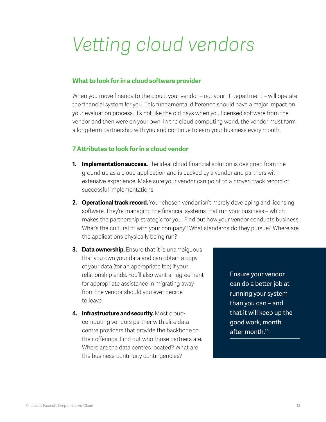## <span id="page-12-0"></span>*Vetting cloud vendors*

#### **What to look for in a cloud software provider**

When you move finance to the cloud, your vendor – not your IT department – will operate the financial system for you. This fundamental difference should have a major impact on your evaluation process. It's not like the old days when you licensed software from the vendor and then were on your own. In the cloud computing world, the vendor must form a long-term partnership with you and continue to earn your business every month.

#### **7 Attributes to look for in a cloud vendor**

- **1. Implementation success.** The ideal cloud financial solution is designed from the ground up as a cloud application and is backed by a vendor and partners with extensive experience. Make sure your vendor can point to a proven track record of successful implementations.
- **2. Operational track record.** Your chosen vendor isn't merely developing and licensing software. They're managing the financial systems that run your business – which makes the partnership strategic for you. Find out how your vendor conducts business. What's the cultural fit with your company? What standards do they pursue? Where are the applications physically being run?
- **3. Data ownership.** Ensure that it is unambiguous that you own your data and can obtain a copy of your data (for an appropriate fee) if your relationship ends. You'll also want an agreement for appropriate assistance in migrating away from the vendor should you ever decide to leave.
- **4. Infrastructure and security.** Most cloudcomputing vendors partner with elite data centre providers that provide the backbone to their offerings. Find out who those partners are. Where are the data centres located? What are the business-continuity contingencies?

Ensure your vendor can do a better job at running your system than you can – and that it will keep up the good work, month after month.<sup>14</sup>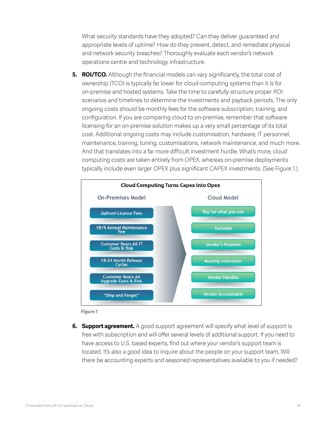What security standards have they adopted? Can they deliver guaranteed and appropriate levels of uptime? How do they prevent, detect, and remediate physical and network security breaches? Thoroughly evaluate each vendor's network operations centre and technology infrastructure.

**5. ROI/TCO.** Although the financial models can vary significantly, the total cost of ownership (TCO) is typically far lower for cloud-computing systems than it is for on-premise and hosted systems. Take the time to carefully structure proper ROI scenarios and timelines to determine the investments and payback periods. The only ongoing costs should be monthly fees for the software subscription, training, and configuration. If you are comparing cloud to on-premise, remember that software licensing for an on-premise solution makes up a very small percentage of its total cost. Additional ongoing costs may include customisation, hardware, IT personnel, maintenance, training, tuning, customisations, network maintenance, and much more. And that translates into a far more difficult investment hurdle. What's more, cloud computing costs are taken entirely from OPEX, whereas on-premise deployments typically include even larger OPEX plus significant CAPEX investments. (See Figure 1.)





**6. Support agreement.** A good support agreement will specify what level of support is free with subscription and will offer several levels of additional support. If you need to have access to U.S. based experts, find out where your vendor's support team is located. It's also a good idea to inquire about the people on your support team. Will there be accounting experts and seasoned representatives available to you if needed?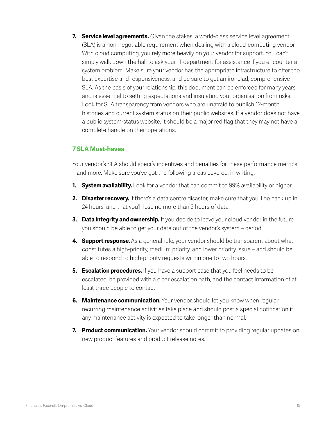<span id="page-14-0"></span>**7. Service level agreements.** Given the stakes, a world-class service level agreement (SLA) is a non-negotiable requirement when dealing with a cloud-computing vendor. With cloud computing, you rely more heavily on your vendor for support. You can't simply walk down the hall to ask your IT department for assistance if you encounter a system problem. Make sure your vendor has the appropriate infrastructure to offer the best expertise and responsiveness, and be sure to get an ironclad, comprehensive SLA. As the basis of your relationship, this document can be enforced for many years and is essential to setting expectations and insulating your organisation from risks. Look for SLA transparency from vendors who are unafraid to publish 12-month histories and current system status on their public websites. If a vendor does not have a public system-status website, it should be a major red flag that they may not have a complete handle on their operations.

#### **7 SLA Must-haves**

Your vendor's SLA should specify incentives and penalties for these performance metrics – and more. Make sure you've got the following areas covered, in writing.

- **1. System availability.** Look for a vendor that can commit to 99% availability or higher.
- **2. Disaster recovery.** If there's a data centre disaster, make sure that you'll be back up in 24 hours, and that you'll lose no more than 2 hours of data.
- **3. Data integrity and ownership.** If you decide to leave your cloud vendor in the future, you should be able to get your data out of the vendor's system – period.
- **4. Support response.** As a general rule, your vendor should be transparent about what constitutes a high-priority, medium priority, and lower priority issue – and should be able to respond to high-priority requests within one to two hours.
- **5. Escalation procedures.** If you have a support case that you feel needs to be escalated, be provided with a clear escalation path, and the contact information of at least three people to contact.
- **6.** Maintenance communication. Your vendor should let you know when regular recurring maintenance activities take place and should post a special notification if any maintenance activity is expected to take longer than normal.
- **7. Product communication.** Your vendor should commit to providing regular updates on new product features and product release notes.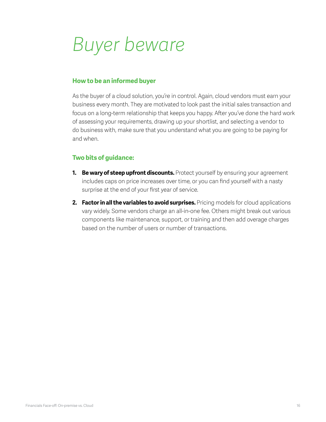### <span id="page-15-0"></span>*Buyer beware*

#### **How to be an informed buyer**

As the buyer of a cloud solution, you're in control. Again, cloud vendors must earn your business every month. They are motivated to look past the initial sales transaction and focus on a long-term relationship that keeps you happy. After you've done the hard work of assessing your requirements, drawing up your shortlist, and selecting a vendor to do business with, make sure that you understand what you are going to be paying for and when.

#### **Two bits of guidance:**

- **1. Be wary of steep upfront discounts.** Protect yourself by ensuring your agreement includes caps on price increases over time, or you can find yourself with a nasty surprise at the end of your first year of service.
- **2. Factor in all the variables to avoid surprises.** Pricing models for cloud applications vary widely. Some vendors charge an all-in-one fee. Others might break out various components like maintenance, support, or training and then add overage charges based on the number of users or number of transactions.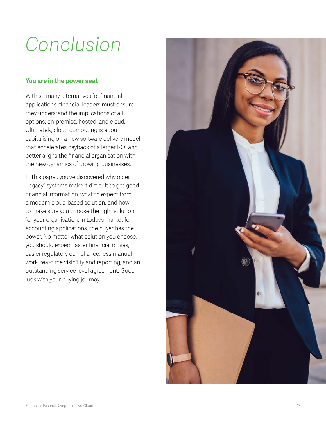# <span id="page-16-0"></span>*Conclusion*

#### **You are in the power seat**

With so many alternatives for financial applications, financial leaders must ensure they understand the implications of all options: on-premise, hosted, and cloud. Ultimately, cloud computing is about capitalising on a new software delivery model that accelerates payback of a larger ROI and better aligns the financial organisation with the new dynamics of growing businesses.

In this paper, you've discovered why older "legacy" systems make it difficult to get good financial information, what to expect from a modern cloud-based solution, and how to make sure you choose the right solution for your organisation. In today's market for accounting applications, the buyer has the power. No matter what solution you choose, you should expect faster financial closes, easier regulatory compliance, less manual work, real-time visibility and reporting, and an outstanding service level agreement. Good luck with your buying journey.

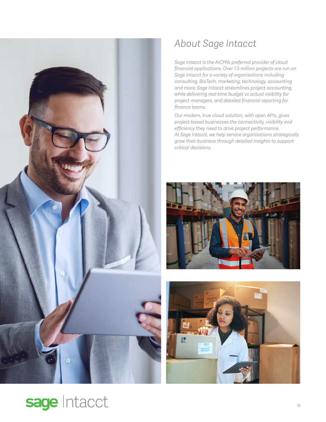<span id="page-17-0"></span>

### *About Sage Intacct*

*Sage Intacct is the AICPA's preferred provider of cloud financial applications. Over 1.5 million projects are run on Sage Intacct for a variety of organisations including consulting, BioTech, marketing, technology, accounting and more. Sage Intacct streamlines project accounting, while delivering real-time budget vs actual visibility for project managers, and detailed financial reporting for finance teams.* 

*Our modern, true cloud solution, with open APIs, gives project-based businesses the connectivity, visibility and efficiency they need to drive project performance. At Sage Intacct, we help service organisations strategically grow their business through detailed insights to support critical decisions.*